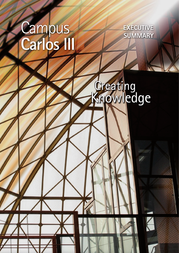# Campus<br>Carlos III

**EXECUTIVE SUMMARY** 

# Creating<br>Knowledge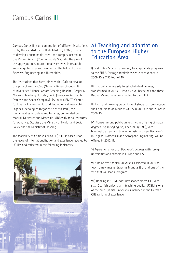#### Campus Carlos III

Campus Carlos III is an aggregation of different institutions led by Universidad Carlos III de Madrid (UC3M), in order to develop a sustainable interurban campus located in the Madrid Region (Comunidad de Madrid). The aim of the aggregation is international excellence in research, knowledge transfer and teaching in the fields of Social Sciences, Engineering and Humanities.

The institutions that have joined with UC3M to develop this project are the CSIC (National Research Council), 4Universities Alliance, Getafe Teaching Hospital, Gregorio Marañón Teaching Hospital, EADS (European Aeronautic Defense and Space Company) -(Airbus), CIEMAT (Center for Energy, Environmental and Technological Research), Leganés Tecnológico (Leganés Scientific Park), the municipalities of Getafe and Leganés, Comunidad de Madrid, Networks and Materials IMDEAs (Madrid Institutes for Advanced Studies), the Ministry of Health and Social Policy and the Ministry of Housing.

The feasibility of Campus Carlos III (CCIII) is based upon the levels of internationalization and excellence reached by UCIIIM and reflected in the following indicators:



#### **a) Teaching and adaptation to the European Higher Education Area**

I) First public Spanish university to adapt all its programs to the EHEA. Average admissions score of students in 2009/10 is 7.33 (out of 10).

II) First public university to establish dual degrees, transformed in 2009/10 into six dual Bachelor's and three Bachelor's with a minor, adapted to the EHEA.

III) High and growing percentage of students from outside the Comunidad de Madrid: 23.3% in 2006/07 and 29.6% in 2009/10.

iv) Pioneer among public universities in offering bilingual degrees (Spanish/English, since 1994/1995), with 11 bilingual degrees and two in English. Two new Bachelor's in English, Biomedical and Aerospace Engineering, will be offered in 2010/11.

v) Agreements for dual Bachelor's degrees with foreign universities and schools in Europe and USA.

vi) One of five Spanish universities selected in 2009 to teach a new master Erasmus Mundus (EU) and one of the two that will lead a program.

vii) Ranking in "El Mundo" newspaper places UC3M as sixth Spanish university in teaching quality; UC3M is one of the nine Spanish universities included in the German CHE ranking of excellence.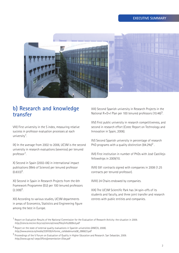

#### **b) Research and knowledge transfer**

VIII) First university in the S index, measuring relative success in professor evaluation processes at each university1.

ix) In the average from 2002 to 2006, UC3M is the second university in research evaluations (sexenios) per tenured professor1.

x) Second in Spain (2002-06) in international impact publications (Web of Science) per tenured professor  $(0.833)^3$ .

xi) Second in Spain in Research Projects from the 6th Framework Programme (EU) per 100 tenured professors  $(2.309)^3$ .

xii) According to various studies, UC3M departments in areas of Economics, Statistics and Engineering figure among the best in Europe.

XIII) Second Spanish university in Research Projects in the National R+D+I Plan per 100 tenured professors  $(10.46)^3$ .

xiv) First public university in research competitiveness, and second in research effort (Cotec Report on Technology and Innovation in Spain, 2006).

xv) Second Spanish university in percentage of research PhD programs with a quality distinction  $(84.2\%)^2$ .

xvi) First institution in number of PhDs with José Castillejo fellowships in 2009/10.

xvii) 591 contracts signed with companies in 2008 (1.25 contracts per tenured professor).

XVIII) 24 Chairs endowed by companies.

xix) The UC3M Scientific Park has 34 spin-offs of its students and faculty, and three joint transfer and research centres with public entities and companies.

<sup>1</sup> Report on Evaluation Results of the National Commission for the Evaluation of Research Activity: the situation in 2009. *http://ciencia.micinn.fecyt.es/ciencia/cneai/files/info2009v5.pdf*

2 Report on the state of external quality evaluations in Spanish universities (ANECA, 2008). *http://www.aneca.es/media/339105/informe\_calidadenunis08\_090623.pdf*

3 Proceedings of the V Forum on Evaluation of Quality in Higher Education and Research. San Sebastián, 2009. *http://www.ugr.es/~aepc/Vforo/presentacion-Elias.pdf*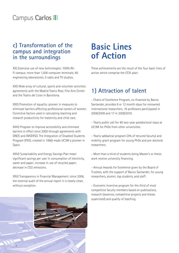#### Campus Carlos III

#### **c) Transformation of the campus and integration in the surroundings**

xx) Extensive use of new technologies: 100% Wi-Fi campus; more than 1,000 computer terminals; 80 engineering laboratories; 5 radio and TV studios.

xxi) Wide array of cultural, sports and volunteer activities: agreements with the Madrid Teatro Real, Fine Arts Center and the Teatro del Liceo in Barcelona.

XXII) Promotion of equality: pioneer in measures to eliminate barriers affecting professional careers of women. Corrective factors used in calculating teaching and research productivity for maternity and child care.

XXIII) Program to improve accessibility and eliminate barriers in effect since 2000 through agreements with ONCE and IMSERSO. The Integration of Disabled Students Program (PIED, created in 1996) made UC3M a pioneer in Spain.

XXIV) Sustainability and Energy Savings Plan mean significant savings per user in consumption of electricity, water and paper; increase in use of recycled paper; decrease in CO2 emissions.

xxv) Transparency in Financial Management: since 2006, the external audit of the annual report it is totally clean, without exception.

### **Basic Lines of Action**

These achievements are the result of the four basic lines of action which comprise the CCIII plan:

#### **1) Attraction of talent**

- Chairs of Excellence Program, co-financed by Banco Santander, provides 6 or 12 month stays for renowned international researchers. 16 professors participated in 2008/2009 and 17 in 2009/2010.

- Yearly public call for 40 two-year postdoctoral stays at UC3M for PhDs from other universities.

- Yearly sabbatical program (2% of tenured faculty) and mobility grant program for young PhDs and pre-doctoral researchers.

- More than a third of students doing Master's or thesis work receive university financing.

- Annual Awards for Excellence given by the Board of Trustees, with the support of Banco Santander, for young researchers, alumni, top students, and staff.

- Economic incentive program for the third of most competitive faculty members based on publications, research (sexenios, competitive projects and theses supervised) and quality of teaching.

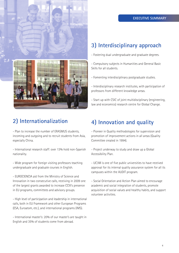#### **EXECUTIVE SUMMARY**



#### **2) Internationalization**

- Plan to increase the number of ERASMUS students, incoming and outgoing and to recruit students from Asia, especially China.

- International research staff: over 13% hold non-Spanish nationality.

- Wide program for foreign visiting professors teaching undergraduate and graduate courses in English.

- EUROCIENCIA aid from the Ministry of Science and Innovation in two consecutive calls, receiving in 2009 one of the largest grants awarded to increase CCIII's presence in EU programs, committees and advisory groups.

- High level of participation and leadership in international calls, both in EU Framework and other European Programs (ESA, Euroatom, etc.), and international programs (IMS).

- International master's: 20% of our master's are taught in English and 35% of students come from abroad.

#### **3) Interdisciplinary approach**

- Fostering dual undergraduate and graduate degrees.

- Compulsory subjects in Humanities and General Basic Skills for all students.

- Fomenting interdisciplinary postgraduate studies.

- Interdisciplinary research institutes, with participation of professors from different knowledge areas.

- Start up with CSIC of joint multidisciplinary (engineering, law and economics) research centre for Global Change.

#### **4) Innovation and quality**

- Pioneer in Quality methodologies for supervision and promotion of improvement actions in all areas (Quality Committee created in 1994).

- Project underway to study and draw up a Global Accessibility Plan.

- UC3M is one of five public universities to have received approval for its internal quality assurance system for all its campuses within the AUDIT program.

- Social Orientation and Action Plan aimed to encourage academic and social integration of students, promote acquisition of social values and healthy habits, and support volunteer activities.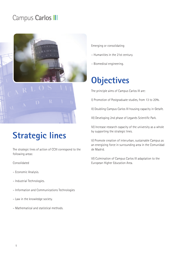#### Campus Carlos III



### **Strategic lines**

The strategic lines of action of CCIII correspond to the following areas:

#### Consolidated

- Economic Analysis.
- Industrial Technologies.
- Information and Communications Technologies
- Law in the knowledge society.
- Mathematical and statistical methods.
- Emerging or consolidating
- Humanities in the 21st century.
- Biomedical engineering.

## **Objectives**

The principle aims of Campus Carlos III are:

I) Promotion of Postgraduate studies, from 13 to 20%.

II) Doubling Campus Carlos III housing capacity in Getafe.

III) Developing 2nd phase of Leganés Scientific Park.

IV) Increase research capacity of the university as a whole by supporting the strategic lines.

v) Promote creation of interurban, sustainable Campus as an energizing force in surrounding area in the Comunidad de Madrid.

vi) Culmination of Campus Carlos III adaptation to the European Higher Education Area.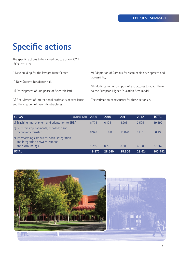## **Specific actions**

The specific actions to be carried out to achieve CCIII objectives are:

I) New building for the Postgraduate Center.

II) New Student Residence Hall.

III) Development of 2nd phase of Scientific Park.

IV) Recruitment of international professors of excellence and the creation of new infrastructures.

v) Adaptation of Campus for sustainable development and accessibility.

vi) Modification of Campus infrastructures to adapt them to the European Higher Education Area model.

The estimation of resources for these actions is:

| <b>AREAS</b>                                                                                        | (Thousands euros) 2009 |        | 2010   | 2011   | 2012   | <b>TOTAL</b> |
|-----------------------------------------------------------------------------------------------------|------------------------|--------|--------|--------|--------|--------------|
| a) Teaching improvement and adaptation to EHEA                                                      |                        | 6.775  | 6.106  | 4.206  | 2.505  | 19.592       |
| b) Scientific improvements, knowledge and<br>technology transfer                                    |                        | 8.348  | 13.811 | 13.020 | 21.019 | 56.198       |
| c) Transforming campus for social integration<br>and integration between campus<br>and surroundings |                        | 4.250  | 8.732  | 8.580  | 6.100  | 27.662       |
| <b>TOTAL</b>                                                                                        |                        | 19.373 | 28.649 | 25.806 | 29.624 | 103.452      |